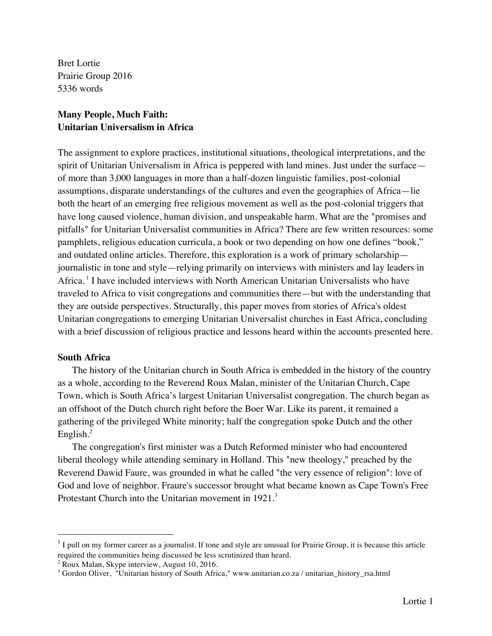Bret Lortie Prairie Group 2016 5336 words

# **Many People, Much Faith: Unitarian Universalism in Africa**

The assignment to explore practices, institutional situations, theological interpretations, and the spirit of Unitarian Universalism in Africa is peppered with land mines. Just under the surface of more than 3,000 languages in more than a half-dozen linguistic families, post-colonial assumptions, disparate understandings of the cultures and even the geographies of Africa—lie both the heart of an emerging free religious movement as well as the post-colonial triggers that have long caused violence, human division, and unspeakable harm. What are the "promises and pitfalls" for Unitarian Universalist communities in Africa? There are few written resources: some pamphlets, religious education curricula, a book or two depending on how one defines "book," and outdated online articles*.* Therefore, this exploration is a work of primary scholarship journalistic in tone and style—relying primarily on interviews with ministers and lay leaders in Africa. <sup>1</sup> I have included interviews with North American Unitarian Universalists who have traveled to Africa to visit congregations and communities there—but with the understanding that they are outside perspectives. Structurally, this paper moves from stories of Africa's oldest Unitarian congregations to emerging Unitarian Universalist churches in East Africa, concluding with a brief discussion of religious practice and lessons heard within the accounts presented here.

# **South Africa**

The history of the Unitarian church in South Africa is embedded in the history of the country as a whole, according to the Reverend Roux Malan, minister of the Unitarian Church, Cape Town, which is South Africa's largest Unitarian Universalist congregation. The church began as an offshoot of the Dutch church right before the Boer War. Like its parent, it remained a gathering of the privileged White minority; half the congregation spoke Dutch and the other English.<sup>2</sup>

The congregation's first minister was a Dutch Reformed minister who had encountered liberal theology while attending seminary in Holland. This "new theology," preached by the Reverend Dawid Faure, was grounded in what he called "the very essence of religion": love of God and love of neighbor. Fraure's successor brought what became known as Cape Town's Free Protestant Church into the Unitarian movement in 1921.<sup>3</sup>

 $<sup>1</sup>$  I pull on my former career as a journalist. If tone and style are unusual for Prairie Group, it is because this article</sup> required the communities being discussed be less scrutinized than heard.

<sup>2</sup> Roux Malan, Skype interview, August 10, 2016.

<sup>&</sup>lt;sup>3</sup> Gordon Oliver, "Unitarian history of South Africa," www.unitarian.co.za / unitarian\_history\_rsa.html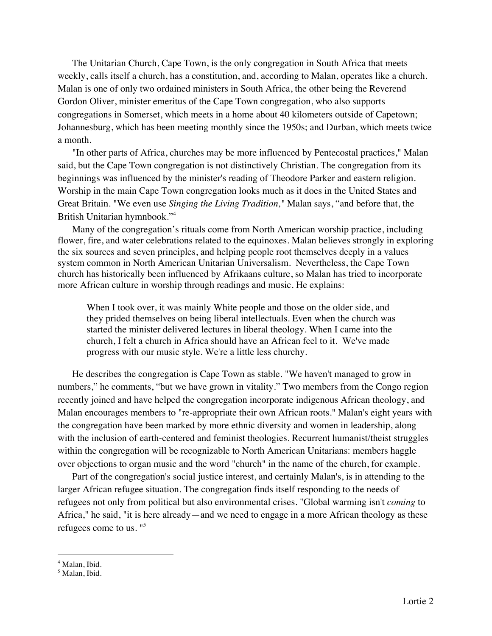The Unitarian Church, Cape Town, is the only congregation in South Africa that meets weekly, calls itself a church, has a constitution, and, according to Malan, operates like a church. Malan is one of only two ordained ministers in South Africa, the other being the Reverend Gordon Oliver, minister emeritus of the Cape Town congregation, who also supports congregations in Somerset, which meets in a home about 40 kilometers outside of Capetown; Johannesburg, which has been meeting monthly since the 1950s; and Durban, which meets twice a month.

"In other parts of Africa, churches may be more influenced by Pentecostal practices," Malan said, but the Cape Town congregation is not distinctively Christian. The congregation from its beginnings was influenced by the minister's reading of Theodore Parker and eastern religion. Worship in the main Cape Town congregation looks much as it does in the United States and Great Britain. "We even use *Singing the Living Tradition,"* Malan says, "and before that, the British Unitarian hymnbook."<sup>4</sup>

Many of the congregation's rituals come from North American worship practice, including flower, fire, and water celebrations related to the equinoxes. Malan believes strongly in exploring the six sources and seven principles, and helping people root themselves deeply in a values system common in North American Unitarian Universalism. Nevertheless, the Cape Town church has historically been influenced by Afrikaans culture, so Malan has tried to incorporate more African culture in worship through readings and music. He explains:

When I took over, it was mainly White people and those on the older side, and they prided themselves on being liberal intellectuals. Even when the church was started the minister delivered lectures in liberal theology. When I came into the church, I felt a church in Africa should have an African feel to it. We've made progress with our music style. We're a little less churchy.

He describes the congregation is Cape Town as stable. "We haven't managed to grow in numbers," he comments, "but we have grown in vitality." Two members from the Congo region recently joined and have helped the congregation incorporate indigenous African theology, and Malan encourages members to "re-appropriate their own African roots." Malan's eight years with the congregation have been marked by more ethnic diversity and women in leadership, along with the inclusion of earth-centered and feminist theologies. Recurrent humanist/theist struggles within the congregation will be recognizable to North American Unitarians: members haggle over objections to organ music and the word "church" in the name of the church, for example.

Part of the congregation's social justice interest, and certainly Malan's, is in attending to the larger African refugee situation. The congregation finds itself responding to the needs of refugees not only from political but also environmental crises. "Global warming isn't *coming* to Africa," he said, "it is here already—and we need to engage in a more African theology as these refugees come to us. "<sup>5</sup>

<sup>&</sup>lt;sup>4</sup> Malan, Ibid.

<sup>5</sup> Malan, Ibid.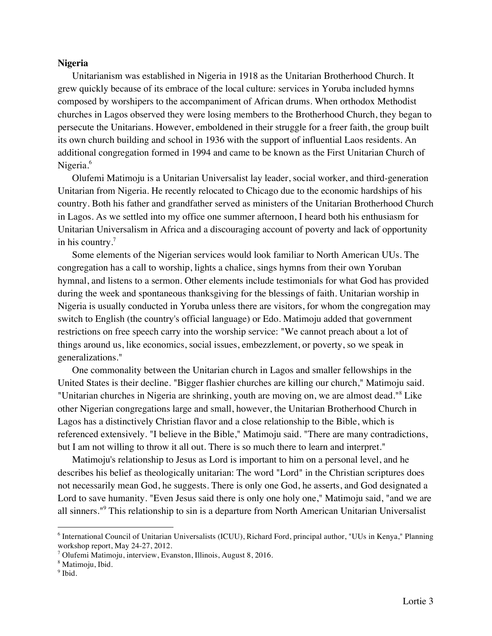#### **Nigeria**

Unitarianism was established in Nigeria in 1918 as the Unitarian Brotherhood Church. It grew quickly because of its embrace of the local culture: services in Yoruba included hymns composed by worshipers to the accompaniment of African drums. When orthodox Methodist churches in Lagos observed they were losing members to the Brotherhood Church, they began to persecute the Unitarians. However, emboldened in their struggle for a freer faith, the group built its own church building and school in 1936 with the support of influential Laos residents. An additional congregation formed in 1994 and came to be known as the First Unitarian Church of Nigeria.<sup>6</sup>

Olufemi Matimoju is a Unitarian Universalist lay leader, social worker, and third-generation Unitarian from Nigeria. He recently relocated to Chicago due to the economic hardships of his country. Both his father and grandfather served as ministers of the Unitarian Brotherhood Church in Lagos. As we settled into my office one summer afternoon, I heard both his enthusiasm for Unitarian Universalism in Africa and a discouraging account of poverty and lack of opportunity in his country.<sup>7</sup>

Some elements of the Nigerian services would look familiar to North American UUs. The congregation has a call to worship, lights a chalice, sings hymns from their own Yoruban hymnal, and listens to a sermon. Other elements include testimonials for what God has provided during the week and spontaneous thanksgiving for the blessings of faith. Unitarian worship in Nigeria is usually conducted in Yoruba unless there are visitors, for whom the congregation may switch to English (the country's official language) or Edo. Matimoju added that government restrictions on free speech carry into the worship service: "We cannot preach about a lot of things around us, like economics, social issues, embezzlement, or poverty, so we speak in generalizations."

One commonality between the Unitarian church in Lagos and smaller fellowships in the United States is their decline. "Bigger flashier churches are killing our church," Matimoju said. "Unitarian churches in Nigeria are shrinking, youth are moving on, we are almost dead."<sup>8</sup> Like other Nigerian congregations large and small, however, the Unitarian Brotherhood Church in Lagos has a distinctively Christian flavor and a close relationship to the Bible, which is referenced extensively. "I believe in the Bible," Matimoju said. "There are many contradictions, but I am not willing to throw it all out. There is so much there to learn and interpret."

Matimoju's relationship to Jesus as Lord is important to him on a personal level, and he describes his belief as theologically unitarian: The word "Lord" in the Christian scriptures does not necessarily mean God, he suggests. There is only one God, he asserts, and God designated a Lord to save humanity. "Even Jesus said there is only one holy one," Matimoju said, "and we are all sinners."9 This relationship to sin is a departure from North American Unitarian Universalist

 <sup>6</sup> International Council of Unitarian Universalists (ICUU), Richard Ford, principal author, "UUs in Kenya," Planning workshop report, May 24-27, 2012.<br><sup>7</sup> Olufemi Matimoju, interview, Evanston, Illinois, August 8, 2016.

<sup>8</sup> Matimoju, Ibid.

<sup>&</sup>lt;sup>9</sup> Ibid.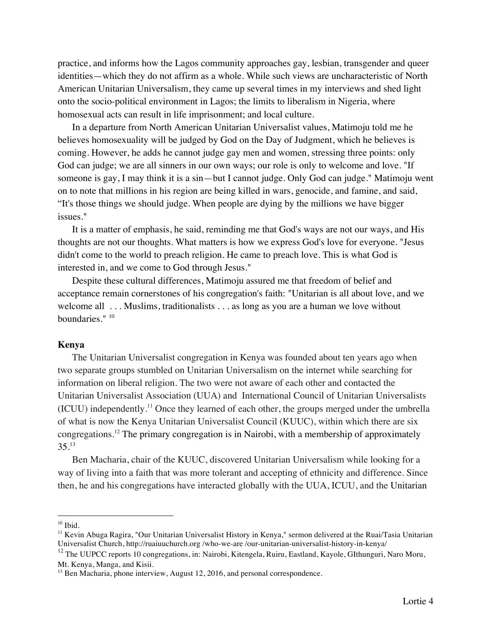practice, and informs how the Lagos community approaches gay, lesbian, transgender and queer identities—which they do not affirm as a whole. While such views are uncharacteristic of North American Unitarian Universalism, they came up several times in my interviews and shed light onto the socio-political environment in Lagos; the limits to liberalism in Nigeria, where homosexual acts can result in life imprisonment; and local culture.

In a departure from North American Unitarian Universalist values, Matimoju told me he believes homosexuality will be judged by God on the Day of Judgment, which he believes is coming. However, he adds he cannot judge gay men and women, stressing three points: only God can judge; we are all sinners in our own ways; our role is only to welcome and love. "If someone is gay, I may think it is a sin—but I cannot judge. Only God can judge." Matimoju went on to note that millions in his region are being killed in wars, genocide, and famine, and said, "It's those things we should judge. When people are dying by the millions we have bigger issues."

It is a matter of emphasis, he said, reminding me that God's ways are not our ways, and His thoughts are not our thoughts. What matters is how we express God's love for everyone. "Jesus didn't come to the world to preach religion. He came to preach love. This is what God is interested in, and we come to God through Jesus."

Despite these cultural differences, Matimoju assured me that freedom of belief and acceptance remain cornerstones of his congregation's faith: "Unitarian is all about love, and we welcome all ... Muslims, traditionalists ... as long as you are a human we love without boundaries." <sup>10</sup>

## **Kenya**

The Unitarian Universalist congregation in Kenya was founded about ten years ago when two separate groups stumbled on Unitarian Universalism on the internet while searching for information on liberal religion. The two were not aware of each other and contacted the Unitarian Universalist Association (UUA) and International Council of Unitarian Universalists (ICUU) independently.<sup>11</sup> Once they learned of each other, the groups merged under the umbrella of what is now the Kenya Unitarian Universalist Council (KUUC), within which there are six congregations. <sup>12</sup> The primary congregation is in Nairobi, with a membership of approximately  $35.13$ 

Ben Macharia, chair of the KUUC, discovered Unitarian Universalism while looking for a way of living into a faith that was more tolerant and accepting of ethnicity and difference. Since then, he and his congregations have interacted globally with the UUA, ICUU, and the Unitarian

 $10$  Ibid.

<sup>&</sup>lt;sup>11</sup> Kevin Abuga Ragira, "Our Unitarian Universalist History in Kenya," sermon delivered at the Ruai/Tasia Unitarian Universalist Church, http://ruaiuuchurch.org /who-we-are /our-unitarian-universalist-history-in-kenya/

<sup>&</sup>lt;sup>12</sup> The UUPCC reports 10 congregations, in: Nairobi, Kitengela, Ruiru, Eastland, Kayole, GIthunguri, Naro Moru, Mt. Kenya, Manga, and Kisii.

<sup>&</sup>lt;sup>13</sup> Ben Macharia, phone interview, August 12, 2016, and personal correspondence.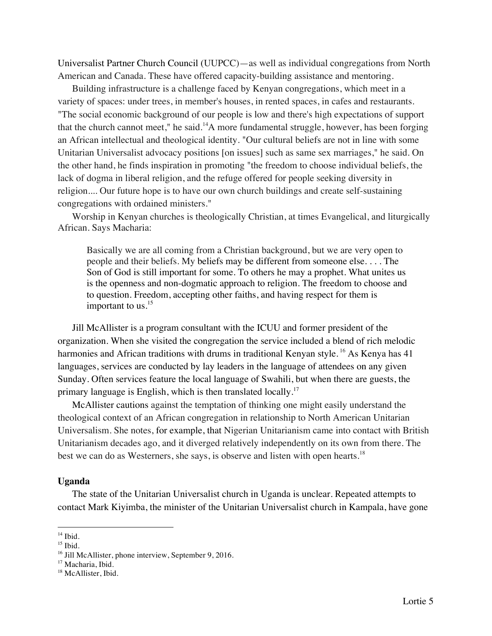Universalist Partner Church Council (UUPCC)—as well as individual congregations from North American and Canada. These have offered capacity-building assistance and mentoring.

Building infrastructure is a challenge faced by Kenyan congregations, which meet in a variety of spaces: under trees, in member's houses, in rented spaces, in cafes and restaurants. "The social economic background of our people is low and there's high expectations of support that the church cannot meet," he said.<sup>14</sup>A more fundamental struggle, however, has been forging an African intellectual and theological identity. "Our cultural beliefs are not in line with some Unitarian Universalist advocacy positions [on issues] such as same sex marriages," he said. On the other hand, he finds inspiration in promoting "the freedom to choose individual beliefs, the lack of dogma in liberal religion, and the refuge offered for people seeking diversity in religion.... Our future hope is to have our own church buildings and create self-sustaining congregations with ordained ministers."

Worship in Kenyan churches is theologically Christian, at times Evangelical, and liturgically African. Says Macharia:

Basically we are all coming from a Christian background, but we are very open to people and their beliefs. My beliefs may be different from someone else. . . . The Son of God is still important for some. To others he may a prophet. What unites us is the openness and non-dogmatic approach to religion. The freedom to choose and to question. Freedom, accepting other faiths, and having respect for them is important to us. $^{15}$ 

Jill McAllister is a program consultant with the ICUU and former president of the organization. When she visited the congregation the service included a blend of rich melodic harmonies and African traditions with drums in traditional Kenyan style.<sup>16</sup> As Kenya has 41 languages, services are conducted by lay leaders in the language of attendees on any given Sunday. Often services feature the local language of Swahili, but when there are guests, the primary language is English, which is then translated locally.<sup>17</sup>

McAllister cautions against the temptation of thinking one might easily understand the theological context of an African congregation in relationship to North American Unitarian Universalism. She notes, for example, that Nigerian Unitarianism came into contact with British Unitarianism decades ago, and it diverged relatively independently on its own from there. The best we can do as Westerners, she says, is observe and listen with open hearts.<sup>18</sup>

#### **Uganda**

The state of the Unitarian Universalist church in Uganda is unclear. Repeated attempts to contact Mark Kiyimba, the minister of the Unitarian Universalist church in Kampala, have gone

 $<sup>14</sup>$  Ibid.</sup>

 $15$  Ibid.

<sup>&</sup>lt;sup>16</sup> Jill McAllister, phone interview, September 9, 2016.

<sup>&</sup>lt;sup>17</sup> Macharia, Ibid.

<sup>&</sup>lt;sup>18</sup> McAllister, Ibid.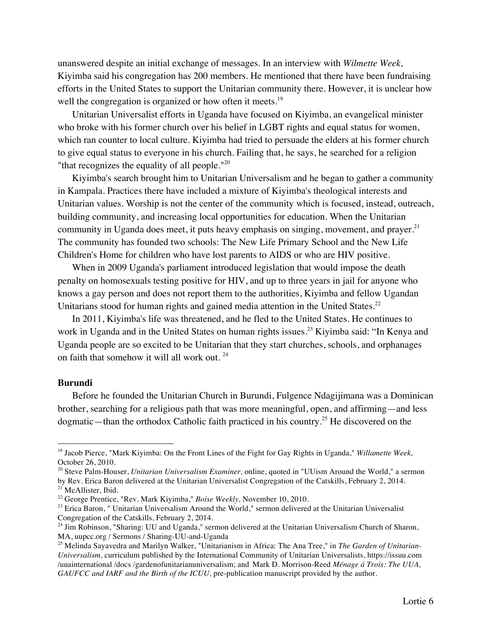unanswered despite an initial exchange of messages. In an interview with *Wilmette Week,*  Kiyimba said his congregation has 200 members. He mentioned that there have been fundraising efforts in the United States to support the Unitarian community there. However, it is unclear how well the congregation is organized or how often it meets.<sup>19</sup>

Unitarian Universalist efforts in Uganda have focused on Kiyimba, an evangelical minister who broke with his former church over his belief in LGBT rights and equal status for women, which ran counter to local culture. Kiyimba had tried to persuade the elders at his former church to give equal status to everyone in his church. Failing that, he says, he searched for a religion "that recognizes the equality of all people." $^{20}$ 

Kiyimba's search brought him to Unitarian Universalism and he began to gather a community in Kampala. Practices there have included a mixture of Kiyimba's theological interests and Unitarian values. Worship is not the center of the community which is focused, instead, outreach, building community, and increasing local opportunities for education. When the Unitarian community in Uganda does meet, it puts heavy emphasis on singing, movement, and prayer. $21$ The community has founded two schools: The New Life Primary School and the New Life Children's Home for children who have lost parents to AIDS or who are HIV positive.

When in 2009 Uganda's parliament introduced legislation that would impose the death penalty on homosexuals testing positive for HIV, and up to three years in jail for anyone who knows a gay person and does not report them to the authorities, Kiyimba and fellow Ugandan Unitarians stood for human rights and gained media attention in the United States.<sup>22</sup>

In 2011, Kiyimba's life was threatened, and he fled to the United States. He continues to work in Uganda and in the United States on human rights issues. <sup>23</sup> Kiyimba said: "In Kenya and Uganda people are so excited to be Unitarian that they start churches, schools, and orphanages on faith that somehow it will all work out. 24

#### **Burundi**

Before he founded the Unitarian Church in Burundi, Fulgence Ndagijimana was a Dominican brother, searching for a religious path that was more meaningful, open, and affirming—and less dogmatic—than the orthodox Catholic faith practiced in his country.<sup>25</sup> He discovered on the

 <sup>19</sup> Jacob Pierce, "Mark Kiyimba: On the Front Lines of the Fight for Gay Rights in Uganda," *Willamette Week,*  October 26, 2010.

<sup>20</sup> Steve Palm-Houser, *Unitarian Universalism Examiner,* online, quoted in "UUism Around the World," a sermon by Rev. Erica Baron delivered at the Unitarian Universalist Congregation of the Catskills, February 2, 2014. <sup>21</sup> McAllister, Ibid.

<sup>22</sup> George Prentice, "Rev. Mark Kiyimba," *Boise Weekly,* November 10, 2010.

<sup>&</sup>lt;sup>23</sup> Erica Baron, " Unitarian Universalism Around the World," sermon delivered at the Unitarian Universalist Congregation of the Catskills, February 2, 2014.

<sup>&</sup>lt;sup>24</sup> Jim Robinson, "Sharing: UU and Uganda," sermon delivered at the Unitarian Universalism Church of Sharon, MA, uupcc.org / Sermons / Sharing-UU-and-Uganda<br><sup>25</sup> Melinda Sayavedra and Marilyn Walker, "Unitarianism in Africa: The Ana Tree," in *The Garden of Unitarian*-

*Universalism,* curriculum published by the International Community of Unitarian Universalists, https://issuu.com /uuainternational /docs /gardenofunitarianuniversalism; and Mark D. Morrison-Reed *Ménage á Trois: The UUA, GAUFCC and IARF and the Birth of the ICUU,* pre-publication manuscript provided by the author.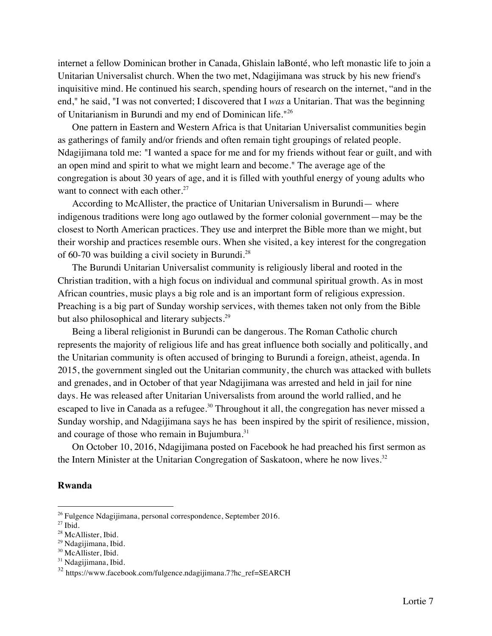internet a fellow Dominican brother in Canada, Ghislain laBonté, who left monastic life to join a Unitarian Universalist church. When the two met, Ndagijimana was struck by his new friend's inquisitive mind. He continued his search, spending hours of research on the internet, "and in the end," he said, "I was not converted; I discovered that I *was* a Unitarian. That was the beginning of Unitarianism in Burundi and my end of Dominican life." 26

One pattern in Eastern and Western Africa is that Unitarian Universalist communities begin as gatherings of family and/or friends and often remain tight groupings of related people. Ndagijimana told me: "I wanted a space for me and for my friends without fear or guilt, and with an open mind and spirit to what we might learn and become." The average age of the congregation is about 30 years of age, and it is filled with youthful energy of young adults who want to connect with each other. $27$ 

According to McAllister, the practice of Unitarian Universalism in Burundi— where indigenous traditions were long ago outlawed by the former colonial government—may be the closest to North American practices. They use and interpret the Bible more than we might, but their worship and practices resemble ours. When she visited, a key interest for the congregation of 60-70 was building a civil society in Burundi.<sup>28</sup>

The Burundi Unitarian Universalist community is religiously liberal and rooted in the Christian tradition, with a high focus on individual and communal spiritual growth. As in most African countries, music plays a big role and is an important form of religious expression. Preaching is a big part of Sunday worship services, with themes taken not only from the Bible but also philosophical and literary subjects.<sup>29</sup>

Being a liberal religionist in Burundi can be dangerous. The Roman Catholic church represents the majority of religious life and has great influence both socially and politically, and the Unitarian community is often accused of bringing to Burundi a foreign, atheist, agenda. In 2015, the government singled out the Unitarian community, the church was attacked with bullets and grenades, and in October of that year Ndagijimana was arrested and held in jail for nine days. He was released after Unitarian Universalists from around the world rallied, and he escaped to live in Canada as a refugee.<sup>30</sup> Throughout it all, the congregation has never missed a Sunday worship, and Ndagijimana says he has been inspired by the spirit of resilience, mission, and courage of those who remain in Bujumbura.<sup>31</sup>

On October 10, 2016, Ndagijimana posted on Facebook he had preached his first sermon as the Intern Minister at the Unitarian Congregation of Saskatoon, where he now lives. $32$ 

## **Rwanda**

 <sup>26</sup> Fulgence Ndagijimana, personal correspondence, September 2016.

 $27$  Ibid.

<sup>&</sup>lt;sup>28</sup> McAllister, Ibid.

<sup>29</sup> Ndagijimana, Ibid.

<sup>&</sup>lt;sup>30</sup> McAllister, Ibid.

<sup>&</sup>lt;sup>31</sup> Ndagijimana, Ibid.

<sup>32</sup> https://www.facebook.com/fulgence.ndagijimana.7?hc\_ref=SEARCH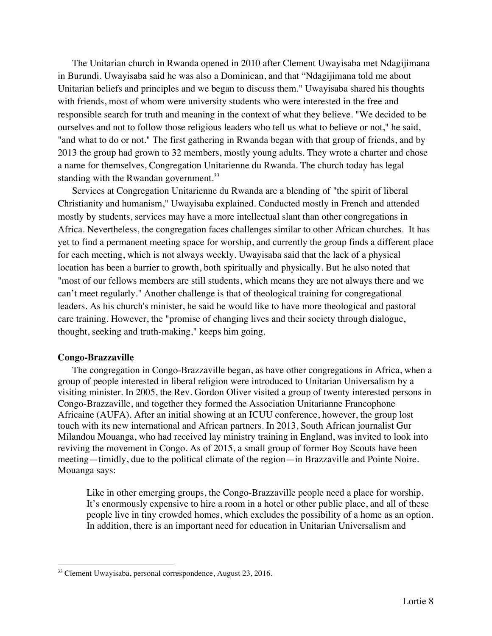The Unitarian church in Rwanda opened in 2010 after Clement Uwayisaba met Ndagijimana in Burundi. Uwayisaba said he was also a Dominican, and that "Ndagijimana told me about Unitarian beliefs and principles and we began to discuss them." Uwayisaba shared his thoughts with friends, most of whom were university students who were interested in the free and responsible search for truth and meaning in the context of what they believe. "We decided to be ourselves and not to follow those religious leaders who tell us what to believe or not," he said, "and what to do or not." The first gathering in Rwanda began with that group of friends, and by 2013 the group had grown to 32 members, mostly young adults. They wrote a charter and chose a name for themselves, Congregation Unitarienne du Rwanda. The church today has legal standing with the Rwandan government.<sup>33</sup>

Services at Congregation Unitarienne du Rwanda are a blending of "the spirit of liberal Christianity and humanism," Uwayisaba explained. Conducted mostly in French and attended mostly by students, services may have a more intellectual slant than other congregations in Africa. Nevertheless, the congregation faces challenges similar to other African churches. It has yet to find a permanent meeting space for worship, and currently the group finds a different place for each meeting, which is not always weekly. Uwayisaba said that the lack of a physical location has been a barrier to growth, both spiritually and physically. But he also noted that "most of our fellows members are still students, which means they are not always there and we can't meet regularly." Another challenge is that of theological training for congregational leaders. As his church's minister, he said he would like to have more theological and pastoral care training. However, the "promise of changing lives and their society through dialogue, thought, seeking and truth-making," keeps him going.

# **Congo-Brazzaville**

The congregation in Congo-Brazzaville began, as have other congregations in Africa, when a group of people interested in liberal religion were introduced to Unitarian Universalism by a visiting minister. In 2005, the Rev. Gordon Oliver visited a group of twenty interested persons in Congo-Brazzaville, and together they formed the Association Unitarianne Francophone Africaine (AUFA). After an initial showing at an ICUU conference, however, the group lost touch with its new international and African partners. In 2013, South African journalist Gur Milandou Mouanga, who had received lay ministry training in England, was invited to look into reviving the movement in Congo. As of 2015, a small group of former Boy Scouts have been meeting—timidly, due to the political climate of the region—in Brazzaville and Pointe Noire. Mouanga says:

Like in other emerging groups, the Congo-Brazzaville people need a place for worship. It's enormously expensive to hire a room in a hotel or other public place, and all of these people live in tiny crowded homes, which excludes the possibility of a home as an option. In addition, there is an important need for education in Unitarian Universalism and

<sup>&</sup>lt;sup>33</sup> Clement Uwayisaba, personal correspondence, August 23, 2016.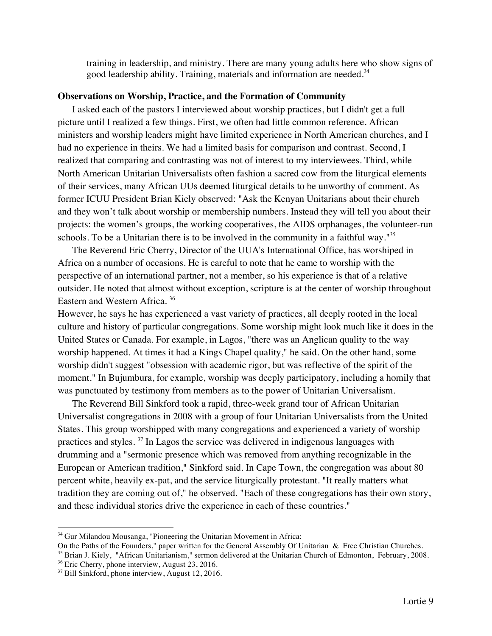training in leadership, and ministry. There are many young adults here who show signs of good leadership ability. Training, materials and information are needed*.* 34

### **Observations on Worship, Practice, and the Formation of Community**

I asked each of the pastors I interviewed about worship practices, but I didn't get a full picture until I realized a few things. First, we often had little common reference. African ministers and worship leaders might have limited experience in North American churches, and I had no experience in theirs. We had a limited basis for comparison and contrast. Second, I realized that comparing and contrasting was not of interest to my interviewees. Third, while North American Unitarian Universalists often fashion a sacred cow from the liturgical elements of their services, many African UUs deemed liturgical details to be unworthy of comment. As former ICUU President Brian Kiely observed: "Ask the Kenyan Unitarians about their church and they won't talk about worship or membership numbers. Instead they will tell you about their projects: the women's groups, the working cooperatives, the AIDS orphanages, the volunteer-run schools. To be a Unitarian there is to be involved in the community in a faithful way."<sup>35</sup>

The Reverend Eric Cherry, Director of the UUA's International Office, has worshiped in Africa on a number of occasions. He is careful to note that he came to worship with the perspective of an international partner, not a member, so his experience is that of a relative outsider. He noted that almost without exception, scripture is at the center of worship throughout Eastern and Western Africa. <sup>36</sup>

However, he says he has experienced a vast variety of practices, all deeply rooted in the local culture and history of particular congregations. Some worship might look much like it does in the United States or Canada. For example, in Lagos, "there was an Anglican quality to the way worship happened. At times it had a Kings Chapel quality," he said. On the other hand, some worship didn't suggest "obsession with academic rigor, but was reflective of the spirit of the moment." In Bujumbura, for example, worship was deeply participatory, including a homily that was punctuated by testimony from members as to the power of Unitarian Universalism.

The Reverend Bill Sinkford took a rapid, three-week grand tour of African Unitarian Universalist congregations in 2008 with a group of four Unitarian Universalists from the United States. This group worshipped with many congregations and experienced a variety of worship practices and styles. <sup>37</sup> In Lagos the service was delivered in indigenous languages with drumming and a "sermonic presence which was removed from anything recognizable in the European or American tradition," Sinkford said. In Cape Town, the congregation was about 80 percent white, heavily ex-pat, and the service liturgically protestant. "It really matters what tradition they are coming out of," he observed. "Each of these congregations has their own story, and these individual stories drive the experience in each of these countries."

<sup>&</sup>lt;sup>34</sup> Gur Milandou Mousanga, "Pioneering the Unitarian Movement in Africa:

On the Paths of the Founders," paper written for the General Assembly Of Unitarian & Free Christian Churches.  $35$  Brian J. Kiely, "African Unitarianism," sermon delivered at the Unitarian Church of Edmonton, February, 2008.  $36$  Eric Cherry, phone interview, August 23, 2016.

<sup>&</sup>lt;sup>37</sup> Bill Sinkford, phone interview, August 12, 2016.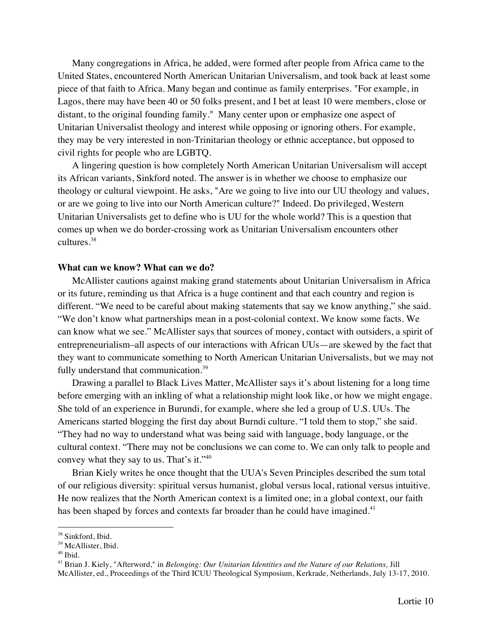Many congregations in Africa, he added, were formed after people from Africa came to the United States, encountered North American Unitarian Universalism, and took back at least some piece of that faith to Africa. Many began and continue as family enterprises. "For example, in Lagos, there may have been 40 or 50 folks present, and I bet at least 10 were members, close or distant, to the original founding family." Many center upon or emphasize one aspect of Unitarian Universalist theology and interest while opposing or ignoring others. For example, they may be very interested in non-Trinitarian theology or ethnic acceptance, but opposed to civil rights for people who are LGBTQ.

A lingering question is how completely North American Unitarian Universalism will accept its African variants, Sinkford noted. The answer is in whether we choose to emphasize our theology or cultural viewpoint. He asks, "Are we going to live into our UU theology and values, or are we going to live into our North American culture?" Indeed. Do privileged, Western Unitarian Universalists get to define who is UU for the whole world? This is a question that comes up when we do border-crossing work as Unitarian Universalism encounters other cultures.<sup>38</sup>

### **What can we know? What can we do?**

McAllister cautions against making grand statements about Unitarian Universalism in Africa or its future, reminding us that Africa is a huge continent and that each country and region is different. "We need to be careful about making statements that say we know anything," she said. "We don't know what partnerships mean in a post-colonial context. We know some facts. We can know what we see." McAllister says that sources of money, contact with outsiders, a spirit of entrepreneurialism–all aspects of our interactions with African UUs—are skewed by the fact that they want to communicate something to North American Unitarian Universalists, but we may not fully understand that communication.<sup>39</sup>

Drawing a parallel to Black Lives Matter, McAllister says it's about listening for a long time before emerging with an inkling of what a relationship might look like, or how we might engage. She told of an experience in Burundi, for example, where she led a group of U.S. UUs. The Americans started blogging the first day about Burndi culture. "I told them to stop," she said. "They had no way to understand what was being said with language, body language, or the cultural context. "There may not be conclusions we can come to. We can only talk to people and convey what they say to us. That's it."<sup>40</sup>

Brian Kiely writes he once thought that the UUA's Seven Principles described the sum total of our religious diversity: spiritual versus humanist, global versus local, rational versus intuitive. He now realizes that the North American context is a limited one; in a global context, our faith has been shaped by forces and contexts far broader than he could have imagined.<sup>41</sup>

<sup>&</sup>lt;sup>38</sup> Sinkford, Ibid.

<sup>&</sup>lt;sup>39</sup> McAllister, Ibid.

 $40$  Ibid.

<sup>41</sup> Brian J. Kiely, "Afterword," in *Belonging: Our Unitarian Identities and the Nature of our Relations,* Jill McAllister, ed., Proceedings of the Third ICUU Theological Symposium, Kerkrade, Netherlands, July 13-17, 2010.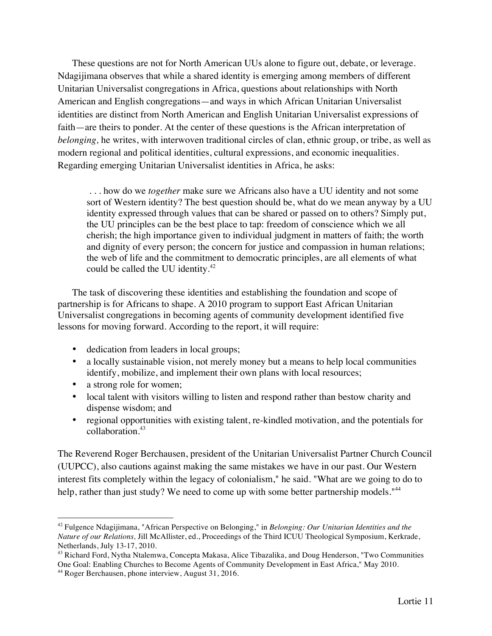These questions are not for North American UUs alone to figure out, debate, or leverage. Ndagijimana observes that while a shared identity is emerging among members of different Unitarian Universalist congregations in Africa, questions about relationships with North American and English congregations—and ways in which African Unitarian Universalist identities are distinct from North American and English Unitarian Universalist expressions of faith—are theirs to ponder. At the center of these questions is the African interpretation of *belonging,* he writes, with interwoven traditional circles of clan, ethnic group, or tribe, as well as modern regional and political identities, cultural expressions, and economic inequalities. Regarding emerging Unitarian Universalist identities in Africa, he asks:

. . . how do we *together* make sure we Africans also have a UU identity and not some sort of Western identity? The best question should be, what do we mean anyway by a UU identity expressed through values that can be shared or passed on to others? Simply put, the UU principles can be the best place to tap: freedom of conscience which we all cherish; the high importance given to individual judgment in matters of faith; the worth and dignity of every person; the concern for justice and compassion in human relations; the web of life and the commitment to democratic principles, are all elements of what could be called the UU identity.<sup>42</sup>

The task of discovering these identities and establishing the foundation and scope of partnership is for Africans to shape. A 2010 program to support East African Unitarian Universalist congregations in becoming agents of community development identified five lessons for moving forward. According to the report, it will require:

- dedication from leaders in local groups;
- a locally sustainable vision, not merely money but a means to help local communities identify, mobilize, and implement their own plans with local resources;
- a strong role for women;
- local talent with visitors willing to listen and respond rather than bestow charity and dispense wisdom; and
- regional opportunities with existing talent, re-kindled motivation, and the potentials for collaboration.43

The Reverend Roger Berchausen, president of the Unitarian Universalist Partner Church Council (UUPCC), also cautions against making the same mistakes we have in our past. Our Western interest fits completely within the legacy of colonialism," he said. "What are we going to do to help, rather than just study? We need to come up with some better partnership models."<sup>44</sup>

 <sup>42</sup> Fulgence Ndagijimana, "African Perspective on Belonging," in *Belonging: Our Unitarian Identities and the Nature of our Relations,* Jill McAllister, ed., Proceedings of the Third ICUU Theological Symposium, Kerkrade,

Netherlands, July 13-17, 2010.<br><sup>43</sup> Richard Ford, Nytha Ntalemwa, Concepta Makasa, Alice Tibazalika, and Doug Henderson, "Two Communities One Goal: Enabling Churches to Become Agents of Community Development in East Africa," May 2010.

<sup>44</sup> Roger Berchausen, phone interview, August 31, 2016.